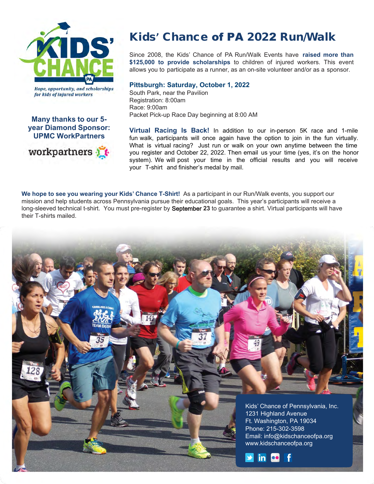

**Hope, opportunity, and scholarships** for kids of injured workers

#### **Many thanks to our 5 year Diamond Sponsor: UPMC WorkPartners**



# Kids**'** Chance of PA 2022 Run/Walk

Since 2008, the Kids' Chance of PA Run/Walk Events have **raised more than \$125,000 to provide scholarships** to children of injured workers. This event allows you to participate as a runner, as an on-site volunteer and/or as a sponsor.

## **Pittsburgh: Saturday, October 1, 2022**

South Park, near the Pavilion Registration: 8:00am Race: 9:00am Packet Pick-up Race Day beginning at 8:00 AM

**Virtual Racing Is Back!** In addition to our in-person 5K race and 1-mile fun walk, participants will once again have the option to join in the fun virtually. What is virtual racing? Just run or walk on your own anytime between the time you register and October 22, 2022. Then email us your time (yes, it's on the honor system). We will post your time in the official results and you will receive your T-shirt and finisher's medal by mail.

**We hope to see you wearing your Kids' Chance T-Shirt!** As a participant in our Run/Walk events, you support our mission and help students across Pennsylvania pursue their educational goals. This year's participants will receive a long-sleeved technical t-shirt. You must pre-register by September **23** to guarantee a shirt. Virtual participants will have their T-shirts mailed.

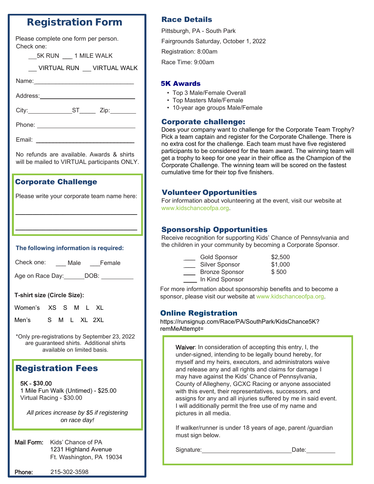## Registration Form

| Please complete one form per person. |  |  |  |
|--------------------------------------|--|--|--|
| Check one:                           |  |  |  |

| 5K RUN 1 MILE WALK |                          |
|--------------------|--------------------------|
|                    | VIRTUAL RUN VIRTUAL WALK |
| Name:              |                          |
| Address:           |                          |

City: ST\_\_\_\_\_ Zip:

Phone:

Email: \_\_\_\_\_\_\_\_\_\_\_\_\_\_\_\_\_\_\_\_\_\_\_\_\_\_\_\_\_

No refunds are available. Awards & shirts will be mailed to VIRTUAL participants ONLY.

## Corporate Challenge

| Please write your corporate team name here: |  |
|---------------------------------------------|--|
|---------------------------------------------|--|

**\_\_\_\_\_\_\_\_\_\_\_\_\_\_\_\_\_\_\_\_\_\_\_\_\_\_\_\_\_\_\_\_\_\_\_\_**

**\_\_\_\_\_\_\_\_\_\_\_\_\_\_\_\_\_\_\_\_\_\_\_\_\_\_\_\_\_\_\_\_\_\_\_\_**

#### **The following information is required:**

Check one: Male Female

Age on Race Day: DOB: 0.000 DOB:

## **T-shirt size (Circle Size):**

| Women's XS S M L XL |  |  |  |
|---------------------|--|--|--|
|                     |  |  |  |

Men's S M L XL 2XL

\*Only pre-registrations by September 23, 2022 are guaranteed shirts. Additional shirts available on limited basis.

# **Registration Fees**

5K - \$**30**.00 1 Mile Fun Walk (Untimed) - \$25.00 Virtual Racing - \$30.00

*All prices increase by \$5 if registering on race day!*

Mail Form: Kids' Chance of PA 1231 1231 Highland Avenue Ft. Washington, PA 19034

Phone: 215-302-3598

## Race Details

Pittsburgh, PA - South Park Fairgrounds Saturday, October 1, 2022 Registration: 8:00am Race Time: 9:00am

## 5K Awards

- Top 3 Male/Female Overall
- Top Masters Male/Female
- 10-year age groups Male/Female

## Corporate challenge:

Does your company want to challenge for the Corporate Team Trophy? Pick a team captain and register for the Corporate Challenge. There is no extra cost for the challenge. Each team must have five registered participants to be considered for the team award. The winning team will get a trophy to keep for one year in their office as the Champion of the Corporate Challenge. The winning team will be scored on the fastest cumulative time for their top five finishers.

## Volunteer Opportunities

For information about volunteering at the event, visit our website at [www.kidschanceofpa.org.](http://www.kidschanceofpa.org/)

## Sponsorship Opportunities

Receive recognition for supporting Kids' Chance of Pennsylvania and the children in your community by becoming a Corporate Sponsor.

| <b>Gold Sponsor</b>   | \$2,500 |
|-----------------------|---------|
| <b>Silver Sponsor</b> | \$1,000 |
| <b>Bronze Sponsor</b> | \$500   |
| In Kind Sponsor       |         |

For more information about sponsorship benefits and to become a sponsor, please visit our website at www.kidschanceofpa.org.

## Online Registration

https://runsignup.com/Race/PA/SouthPark/KidsChance5K? remMeAttempt=

Waiver: In consideration of accepting this entry, I, the under-signed, intending to be legally bound hereby, for myself and my heirs, executors, and administrators waive and release any and all rights and claims for damage I may have against the Kids' Chance of Pennsylvania, County of Allegheny, GCXC Racing or anyone associated with this event, their representatives, successors, and assigns for any and all injuries suffered by me in said event. I will additionally permit the free use of my name and pictures in all media.

If walker/runner is under 18 years of age, parent /guardian must sign below.

Signature: Date: Date: Date: